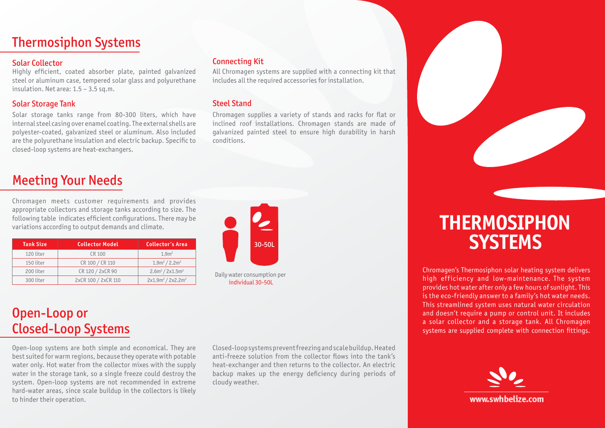#### **Thermosiphon Systems**

#### Solar Collector

Highly efficient, coated absorber plate, painted galvanized steel or aluminum case, tempered solar glass and polyurethane insulation. Net area:  $1.5 - 3.5$  sq.m.

#### **Solar Storage Tank**

Solar storage tanks range from 80-300 liters, which have internal steel casing over enamel coating. The external shells are polyester-coated, galvanized steel or aluminum. Also included are the polyurethane insulation and electric backup. Specific to closed-loop systems are heat-exchangers.

### **Meeting Your Needs**

Chromagen meets customer requirements and provides appropriate collectors and storage tanks according to size. The following table indicates efficient configurations. There may be variations according to output demands and climate.

| <b>Tank Size</b> | <b>Collector Model</b> | <b>Collector's Area</b> |
|------------------|------------------------|-------------------------|
| 120 liter        | CR 100                 | 1.9 <sup>m²</sup>       |
| 150 liter        | CR 100 / CR 110        | $1.9m^2/2.2m^2$         |
| 200 liter        | CR 120 / 2xCR 90       | $2.6m^2 / 2x1.5m^2$     |
| 300 liter        | 2xCR 100 / 2xCR 110    | $2x1.9m^2 / 2x2.2m^2$   |



**Connecting Kit** 

**Steel Stand** 

.conditions

Daily water consumption per individual 30-50L

## Open-Loop or Closed-Loop Systems

Open-loop systems are both simple and economical. They are best suited for warm regions, because they operate with potable water only. Hot water from the collector mixes with the supply water in the storage tank, so a single freeze could destroy the system. Open-loop systems are not recommended in extreme hard-water areas, since scale buildup in the collectors is likely to hinder their operation.

Closed-loop systems prevent freezing and scale buildup. Heated anti-freeze solution from the collector flows into the tank's heat-exchanger and then returns to the collector. An electric backup makes up the energy deficiency during periods of cloudy weather.

All Chromagen systems are supplied with a connecting kit that

Chromagen supplies a variety of stands and racks for flat or inclined roof installations. Chromagen stands are made of qalvanized painted steel to ensure high durability in harsh

includes all the required accessories for installation.

# **Thermosiphon systems**

Chromagen's Thermosiphon solar heating system delivers high efficiency and low-maintenance. The system provides hot water after only a few hours of sunlight. This is the eco-friendly answer to a family's hot water needs. This streamlined system uses natural water circulation and doesn't require a pump or control unit. It includes a solar collector and a storage tank. All Chromagen systems are supplied complete with connection fittings.